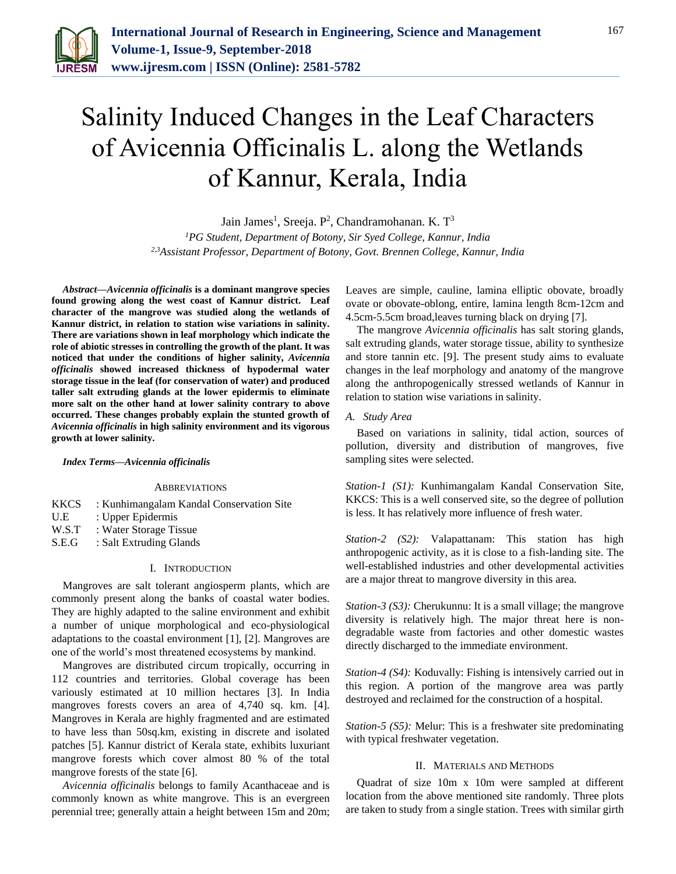

# Salinity Induced Changes in the Leaf Characters of Avicennia Officinalis L. along the Wetlands of Kannur, Kerala, India

Jain James<sup>1</sup>, Sreeja. P<sup>2</sup>, Chandramohanan. K. T<sup>3</sup>

*<sup>1</sup>PG Student, Department of Botony, Sir Syed College, Kannur, India 2,3Assistant Professor, Department of Botony, Govt. Brennen College, Kannur, India*

*Abstract***—***Avicennia officinalis* **is a dominant mangrove species found growing along the west coast of Kannur district. Leaf character of the mangrove was studied along the wetlands of Kannur district, in relation to station wise variations in salinity. There are variations shown in leaf morphology which indicate the role of abiotic stresses in controlling the growth of the plant. It was noticed that under the conditions of higher salinity,** *Avicennia officinalis* **showed increased thickness of hypodermal water storage tissue in the leaf (for conservation of water) and produced taller salt extruding glands at the lower epidermis to eliminate more salt on the other hand at lower salinity contrary to above occurred. These changes probably explain the stunted growth of**  *Avicennia officinalis* **in high salinity environment and its vigorous growth at lower salinity.**

#### *Index Terms***—***Avicennia officinalis*

#### ABBREVIATIONS

| KKCS  | : Kunhimangalam Kandal Conservation Site |
|-------|------------------------------------------|
| U.E.  | : Upper Epidermis                        |
| W.S.T | : Water Storage Tissue                   |
| S.E.G | : Salt Extruding Glands                  |
|       |                                          |

# I. INTRODUCTION

Mangroves are salt tolerant angiosperm plants, which are commonly present along the banks of coastal water bodies. They are highly adapted to the saline environment and exhibit a number of unique morphological and eco-physiological adaptations to the coastal environment [1], [2]. Mangroves are one of the world's most threatened ecosystems by mankind.

Mangroves are distributed circum tropically, occurring in 112 countries and territories. Global coverage has been variously estimated at 10 million hectares [3]. In India mangroves forests covers an area of 4,740 sq. km. [4]. Mangroves in Kerala are highly fragmented and are estimated to have less than 50sq.km, existing in discrete and isolated patches [5]. Kannur district of Kerala state, exhibits luxuriant mangrove forests which cover almost 80 % of the total mangrove forests of the state [6].

*Avicennia officinalis* belongs to family Acanthaceae and is commonly known as white mangrove. This is an evergreen perennial tree; generally attain a height between 15m and 20m; Leaves are simple, cauline, lamina elliptic obovate, broadly ovate or obovate-oblong, entire, lamina length 8cm-12cm and 4.5cm-5.5cm broad,leaves turning black on drying [7].

The mangrove *Avicennia officinalis* has salt storing glands, salt extruding glands, water storage tissue, ability to synthesize and store tannin etc. [9]. The present study aims to evaluate changes in the leaf morphology and anatomy of the mangrove along the anthropogenically stressed wetlands of Kannur in relation to station wise variations in salinity.

## *A. Study Area*

Based on variations in salinity, tidal action, sources of pollution, diversity and distribution of mangroves, five sampling sites were selected.

*Station-1 (S1):* Kunhimangalam Kandal Conservation Site, KKCS: This is a well conserved site, so the degree of pollution is less. It has relatively more influence of fresh water.

*Station-2 (S2):* Valapattanam: This station has high anthropogenic activity, as it is close to a fish-landing site. The well-established industries and other developmental activities are a major threat to mangrove diversity in this area.

*Station-3 (S3):* Cherukunnu: It is a small village; the mangrove diversity is relatively high. The major threat here is nondegradable waste from factories and other domestic wastes directly discharged to the immediate environment.

*Station-4 (S4):* Koduvally: Fishing is intensively carried out in this region. A portion of the mangrove area was partly destroyed and reclaimed for the construction of a hospital.

*Station-5 (S5):* Melur: This is a freshwater site predominating with typical freshwater vegetation.

### II. MATERIALS AND METHODS

Quadrat of size 10m x 10m were sampled at different location from the above mentioned site randomly. Three plots are taken to study from a single station. Trees with similar girth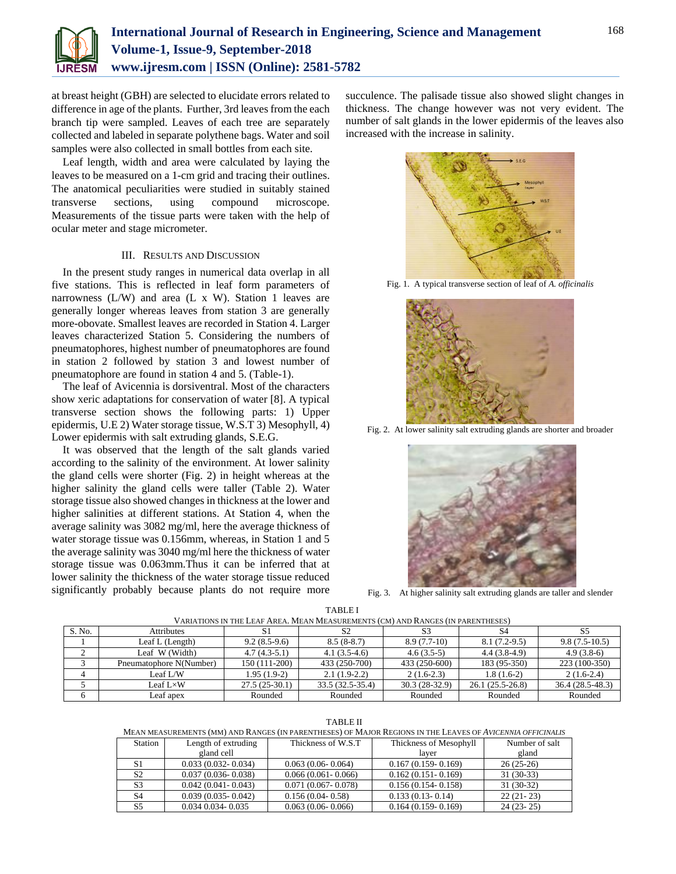

at breast height (GBH) are selected to elucidate errors related to difference in age of the plants. Further, 3rd leaves from the each branch tip were sampled. Leaves of each tree are separately collected and labeled in separate polythene bags. Water and soil samples were also collected in small bottles from each site.

Leaf length, width and area were calculated by laying the leaves to be measured on a 1-cm grid and tracing their outlines. The anatomical peculiarities were studied in suitably stained transverse sections, using compound microscope. Measurements of the tissue parts were taken with the help of ocular meter and stage micrometer.

# III. RESULTS AND DISCUSSION

In the present study ranges in numerical data overlap in all five stations. This is reflected in leaf form parameters of narrowness  $(L/W)$  and area  $(L \times W)$ . Station 1 leaves are generally longer whereas leaves from station 3 are generally more-obovate. Smallest leaves are recorded in Station 4. Larger leaves characterized Station 5. Considering the numbers of pneumatophores, highest number of pneumatophores are found in station 2 followed by station 3 and lowest number of pneumatophore are found in station 4 and 5. (Table-1).

The leaf of Avicennia is dorsiventral. Most of the characters show xeric adaptations for conservation of water [8]. A typical transverse section shows the following parts: 1) Upper epidermis, U.E 2) Water storage tissue, W.S.T 3) Mesophyll, 4) Lower epidermis with salt extruding glands, S.E.G.

It was observed that the length of the salt glands varied according to the salinity of the environment. At lower salinity the gland cells were shorter (Fig. 2) in height whereas at the higher salinity the gland cells were taller (Table 2). Water storage tissue also showed changes in thickness at the lower and higher salinities at different stations. At Station 4, when the average salinity was 3082 mg/ml, here the average thickness of water storage tissue was 0.156mm, whereas, in Station 1 and 5 the average salinity was 3040 mg/ml here the thickness of water storage tissue was 0.063mm.Thus it can be inferred that at lower salinity the thickness of the water storage tissue reduced significantly probably because plants do not require more succulence. The palisade tissue also showed slight changes in thickness. The change however was not very evident. The number of salt glands in the lower epidermis of the leaves also increased with the increase in salinity.



Fig. 1. A typical transverse section of leaf of *A. officinalis*



Fig. 2. At lower salinity salt extruding glands are shorter and broader



Fig. 3. At higher salinity salt extruding glands are taller and slender

| VARIATIONS IN THE LEAF AREA. MEAN MEASUREMENTS (CM) AND RANGES (IN PARENTHESES) |                         |                 |                  |                 |                   |                   |
|---------------------------------------------------------------------------------|-------------------------|-----------------|------------------|-----------------|-------------------|-------------------|
| S. No.                                                                          | <b>Attributes</b>       | S1              |                  |                 | S4                | -S5               |
|                                                                                 | Leaf $L$ (Length)       | $9.2(8.5-9.6)$  | $8.5(8-8.7)$     | $8.9(7.7-10)$   | $8.1(7.2-9.5)$    | $9.8(7.5-10.5)$   |
|                                                                                 | Leaf W (Width)          | $4.7(4.3-5.1)$  | $4.1(3.5-4.6)$   | $4.6(3.5-5)$    | $4.4(3.8-4.9)$    | $4.9(3.8-6)$      |
|                                                                                 | Pneumatophore N(Number) | 150 (111-200)   | 433 (250-700)    | 433 (250-600)   | 183 (95-350)      | 223 (100-350)     |
|                                                                                 | Leaf L/W                | $1.95(1.9-2)$   | $2.1(1.9-2.2)$   | $2(1.6-2.3)$    | $1.8(1.6-2)$      | $2(1.6-2.4)$      |
|                                                                                 | Leaf $L \times W$       | $27.5(25-30.1)$ | 33.5 (32.5-35.4) | $30.3(28-32.9)$ | $26.1(25.5-26.8)$ | $36.4(28.5-48.3)$ |
|                                                                                 | Leaf apex               | Rounded         | Rounded          | Rounded         | Rounded           | Rounded           |

TABLE I VARIATIONS IN THE LEAF AREA. MEAN MEASUREMENTS (CM) AND RANGES (IN PARENTHESES)

TABLE II

MEAN MEASUREMENTS (MM) AND RANGES (IN PARENTHESES) OF MAJOR REGIONS IN THE LEAVES OF *AVICENNIA OFFICINALIS*

| <b>Station</b> | Length of extruding    | Thickness of W.S.T.    | Thickness of Mesophyll | Number of salt |
|----------------|------------------------|------------------------|------------------------|----------------|
|                | gland cell             |                        | laver                  | gland          |
| S1             | $0.033(0.032 - 0.034)$ | $0.063(0.06-0.064)$    | $0.167(0.159 - 0.169)$ | $26(25-26)$    |
| S <sub>2</sub> | $0.037(0.036 - 0.038)$ | $0.066(0.061 - 0.066)$ | $0.162(0.151-0.169)$   | $31(30-33)$    |
| S <sub>3</sub> | $0.042(0.041 - 0.043)$ | $0.071(0.067 - 0.078)$ | $0.156(0.154 - 0.158)$ | $31(30-32)$    |
| S <sub>4</sub> | $0.039(0.035 - 0.042)$ | $0.156(0.04-0.58)$     | $0.133(0.13-0.14)$     | $22(21-23)$    |
| S <sub>5</sub> | 0.034 0.034 - 0.035    | $0.063(0.06-0.066)$    | $0.164(0.159-0.169)$   | $24(23-25)$    |